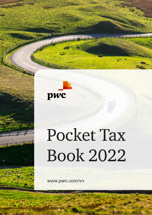

# Pocket Tax **Book 2022**

www.pwc.com/vn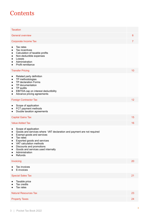# **Contents**

| <b>Taxation</b>                                                                                                                                                                                                                                                                                                                                                   |                |
|-------------------------------------------------------------------------------------------------------------------------------------------------------------------------------------------------------------------------------------------------------------------------------------------------------------------------------------------------------------------|----------------|
| <b>General overview</b>                                                                                                                                                                                                                                                                                                                                           | 6              |
| Corporate Income Tax                                                                                                                                                                                                                                                                                                                                              | $\overline{7}$ |
| Tax rates<br>$\bullet$<br>Tax incentives<br>$\bullet$<br>Calculation of taxable profits<br>$\bullet$<br>Non-deductible expenses<br>$\bullet$<br>Losses<br>$\bullet$<br>Administration<br>$\bullet$<br>Profit remittance<br>$\bullet$                                                                                                                              |                |
| <b>Transfer Pricing</b>                                                                                                                                                                                                                                                                                                                                           | 10             |
| Related party definition<br>$\bullet$<br>TP methodologies<br>$\bullet$<br><b>TP declaration Forms</b><br>$\bullet$<br>TP documentation<br>$\bullet$<br>TP audits<br>$\bullet$<br>EBITDA cap on interest deductibility<br>$\bullet$<br>Advance pricing agreements<br>$\bullet$                                                                                     |                |
| <b>Foreign Contractor Tax</b>                                                                                                                                                                                                                                                                                                                                     | 12             |
| Scope of application<br>$\bullet$<br>FCT payment methods<br>$\bullet$<br>Double taxation agreements<br>$\bullet$                                                                                                                                                                                                                                                  |                |
| <b>Capital Gains Tax</b>                                                                                                                                                                                                                                                                                                                                          | 15             |
| <b>Value Added Tax</b>                                                                                                                                                                                                                                                                                                                                            | 16             |
| Scope of application<br>$\bullet$<br>Goods and services where VAT declaration and payment are not required<br>$\bullet$<br>Exempt goods and services<br>$\bullet$<br>Tax rates<br>Exported goods and services<br>VAT calculation methods<br>$\bullet$<br>Discounts and promotions<br>Goods and services used internally<br>$\bullet$<br>Administration<br>Refunds |                |
| Invoicing                                                                                                                                                                                                                                                                                                                                                         | 20             |
| Tax invoices<br>E-invoices                                                                                                                                                                                                                                                                                                                                        |                |
| <b>Special Sales Tax</b>                                                                                                                                                                                                                                                                                                                                          | 21             |
| Taxable price<br>$\bullet$<br>Tax credits<br>$\bullet$<br>Tax rates<br>$\bullet$                                                                                                                                                                                                                                                                                  |                |
| <b>Natural Resources Tax</b>                                                                                                                                                                                                                                                                                                                                      | 23             |
| <b>Property Taxes</b>                                                                                                                                                                                                                                                                                                                                             | 24             |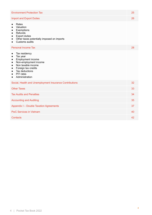| <b>Environment Protection Tax</b>                                                                                                                                                                                                                                                          | 25 |
|--------------------------------------------------------------------------------------------------------------------------------------------------------------------------------------------------------------------------------------------------------------------------------------------|----|
| <b>Import and Export Duties</b>                                                                                                                                                                                                                                                            | 26 |
| Rates<br>$\bullet$<br>Valuation<br>$\bullet$<br>Exemptions<br>$\bullet$<br>Refunds<br>$\bullet$<br><b>Export duties</b><br>$\bullet$<br>Other taxes potentially imposed on imports<br>$\bullet$<br>Customs audits<br>$\bullet$                                                             |    |
| <b>Personal Income Tax</b>                                                                                                                                                                                                                                                                 | 28 |
| Tax residency<br>$\bullet$<br>Tax year<br>$\bullet$<br>Employment income<br>$\bullet$<br>Non-employment income<br>$\bullet$<br>Non taxable income<br>$\bullet$<br>Foreign tax credits<br>$\bullet$<br>Tax deductions<br>$\bullet$<br>PIT rates<br>$\bullet$<br>Administration<br>$\bullet$ |    |
| Social, Health and Unemployment Insurance Contributions                                                                                                                                                                                                                                    | 32 |
| <b>Other Taxes</b>                                                                                                                                                                                                                                                                         | 33 |
| <b>Tax Audits and Penalties</b>                                                                                                                                                                                                                                                            | 34 |
| <b>Accounting and Auditing</b>                                                                                                                                                                                                                                                             | 35 |
| <b>Appendix I - Double Taxation Agreements</b>                                                                                                                                                                                                                                             | 37 |
| <b>PwC Services in Vietnam</b>                                                                                                                                                                                                                                                             | 40 |
| Contacts                                                                                                                                                                                                                                                                                   | 42 |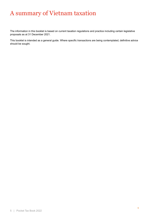# A summary of Vietnam taxation

The information in this booklet is based on current taxation regulations and practice including certain legislative proposals as at 31 December 2021.

This booklet is intended as a general guide. Where specific transactions are being contemplated, definitive advice should be sought.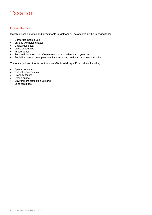# <span id="page-5-0"></span>Taxation

### <span id="page-5-1"></span>General Overview

Most business activities and investments in Vietnam will be affected by the following taxes:

- Corporate income tax;
- Various withholding taxes;
- Capital gains tax;
- Value added tax;
- Import duties;
- Personal income tax on Vietnamese and expatriate employees; and
- Social insurance, unemployment insurance and health insurance contributions.

There are various other taxes that may affect certain specific activities, including:

- Special sales tax;
- Natural resources tax;
- Property taxes;
- Export duties;
- Environment protection tax; and
- Land rental fee.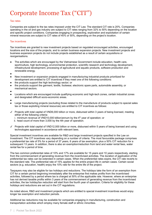# <span id="page-6-0"></span>Corporate Income Tax ("CIT")

### Tax rates

Companies are subject to the tax rates imposed under the CIT Law. The standard CIT rate is 20%. Companies operating in the oil and gas industry are subject to CIT rates ranging from 32% to 50% depending on the location and specific project conditions. Companies engaging in prospecting, exploration and exploitation of certain mineral resources are subject to CIT rates of 40% or 50%, depending on the project's location.

### Tax incentives

Tax incentives are granted to new investment projects based on regulated encouraged activities, encouraged locations and the size of the projects, and to certain business expansion projects. New investment projects and business expansion projects do not include projects established as a result of certain acquisitions or reorganisations.

- The activities which are encouraged by the Vietnamese Government include education, health care, sport/culture, high technology, environmental protection, scientific research and technology development, infrastructural development, processing of agricultural and aquatic products, software production and renewable energy.
- ●
- New investment or expansion projects engaged in manufacturing industrial products prioritized for development are entitled to CIT incentives if they meet one of the following conditions:
- the products support the high technology sector; or
- the products support the garment, textile, footwear, electronic spare parts, automobile assembly, or mechanical sectors.
- ●

● Locations which are encouraged include qualifying economic and high-tech zones, certain industrial zones and designated difficult socio-economic areas.

●

Large manufacturing projects (excluding those related to the manufacture of products subject to special sales tax or those exploiting mineral resources) are entitled to CIT incentives as follows:

- ✓ Projects with total capital of VND6,000 billion or more, disbursed within 3 years of being licensed, meeting either of the following criteria:
	- i. minimum revenue of VND10,000 billion/annum by the 4<sup>th</sup> year of operation; or
	- ii. head count of more than 3,000 by the 4th year of operation.
- ✓ Projects with total capital of VND12,000 billion or more, disbursed within 5 years of being licensed and using technologies appraised in accordance with relevant laws.

Special investment incentives are available for R&D and large investment projects specified in the Law on Investment. The CIT incentives vary depending on a number of criteria. The most favourable package comprises a preferential tax rate of 5% for a period of 37 years, 6 years of tax exemption, plus a 50% CIT reduction for a subsequent 13 years. In addition, there is also an exemption/reduction from land and water rental fees, water rental fee for a period of time.

The two common preferential rates of 10% and 17% are available for 15 years and 10 years respectively, starting from the commencement of generating revenue from the incentivised activities. The duration of application of the preferential tax rates can be extended in certain cases. When the preferential rates expire, the CIT rate reverts to the standard rate. The preferential rate of 15% applies for the entire project life in certain cases. Certain social sectors (e.g. education, health) enjoy the 10% rate for the entire life of the project.

Taxpayers may also be eligible for tax holidays and reductions. The holidays take the form of an exemption from CIT for a certain period beginning immediately after the enterprise first makes profits from the incentivised activities, followed by a period where tax is charged at 50% of the applicable rate. However, where an enterprise has not derived taxable profits within 3 years of the commencement of generating revenue from the incentivised activities, the tax holiday/tax reduction will start from the fourth year of operation. Criteria for eligibility for these holidays and reductions are set out in the CIT regulations.

As noted above, R&D and investment projects which are entitled to special investment incentives would enjoy longer tax exemption and reduction periods.

Additional tax reductions may be available for companies engaging in manufacturing, construction and transportation activities which employ many female staff or ethnic minorities.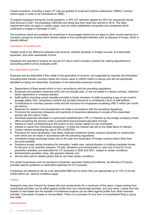Certain incentives, including a lower CIT rate are granted to small and medium enterprises ("SMEs") (various criteria apply in order to be considered an SME).

To support taxpayers during the Covid pandemic, a 30% CIT reduction applies for 2021 for companies having total revenue in 2021 not exceeding VND200b and being less than what they earned in 2019. The latter requirement does not apply in certain cases, such as newly established companies and companies which underwent a merger or demerger in 2021.

Tax incentives which are available for investment in encouraged sectors do not apply to other income earned by a company (except for income which directly relates to the incentivised activities such as disposal of scrap), which is broadly defined.

# Calculation of taxable profit

Taxable profit is the difference between total revenue, whether domestic or foreign sourced, and deductible expenses, plus other assessable income.

Taxpayers are required to prepare an annual CIT return which includes a section for making adjustments to accounting profit to arrive at taxable profit.

### Non-deductible expenses

Expenses are tax deductible if they relate to the generation of revenue, are supported by requisite documentation (including bank transfer vouchers where the invoice value is VND20 million or above) and are not specifically identified as being non-deductible. Examples of non-deductible expenses include:

- Depreciation of fixed assets which is not in accordance with the prevailing regulations;
- Employee remuneration expenses which are not actually paid, or are not stated in a labour contract, collective labour agreement or company policies;
- Staff welfare (including certain benefits provided to family members of staff) exceeding a cap of one month's average salary. Non- compulsory medical and accident insurance is considered a form of staff welfare;
- Contributions to voluntary pension funds and life insurance for employees exceeding VND 3 million per month per person;
- Reserves for research and development not made in accordance with the prevailing regulations;
- Provisions for severance allowance and payments of severance allowance in excess of the prescribed amount per the Labour Code;
- Overhead expenses allocated to a permanent establishment ("PE") in Vietnam by the foreign company's head office exceeding the amount under a prescribed revenue-based allocation formula;
- Interest on loans corresponding to the portion of any charter capital not yet contributed;
- Interest on loans from individuals exceeding 1.5 times the interest rate set by the State Bank of Vietnam;
- Certain interest exceeding the cap of 30% of EBITDA;
- Provisions for stock devaluation, bad debts, financial investment losses, product warranties or construction work which are not made in accordance with the prevailing regulations:
- Unrealised foreign exchange losses due to the year-end revaluation of foreign currency items other than accounts payable;
- Donations except certain donations for education, health care, natural disaster or building charitable homes for the poor or for scientific research. Of note, donations and sponsorships in cash and in kind for Covid prevention activities, are deductible for CIT purposes in 2020 and 2021, subject to certain conditions.
- Administrative penalties, fines, late payment interest; and
- Service fees paid to related parties that do not meet certain conditions.

For certain businesses such as insurance companies, securities trading and lotteries, the Ministry of Finance provides specific guidance on deductible expenses for CIT purposes.

Companies are allowed to set up a tax deductible R&D fund to which they can appropriate up to 10% of annual profits before tax. Various conditions apply.

### Losses

Taxpayers may carry forward tax losses fully and consecutively for a maximum of five years. Losses arising from incentivised activities can be offset against profits from non-incentivised activities, and vice versa. Losses from the transfer of real estate and the transfer of investment projects can be offset against profits from other business activities. Carry-back of losses is not permitted. There is no provision for any form of consolidated filing or group loss relief.

### Administration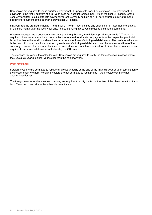Companies are required to make quarterly provisional CIT payments based on estimates. The provisional CIT payments in the first 3 quarters of a tax year must not account for less than 75% of the final CIT liability for the year. Any shortfall is subject to late payment interest (currently as high as 11% per annum), counting from the deadline for payment of the quarter 3 provisional CIT liability.

Final CIT returns are filed annually. The annual CIT return must be filed and submitted not later than the last day of the third month after the fiscal year end. The outstanding tax payable must be paid at the same time.

Where a taxpayer has a dependent accounting unit (e.g. branch) in a different province, a single CIT return is required. However, manufacturing companies are required to allocate tax payments to the respective provincial tax authorities in the locations where they have dependent manufacturing establishments. The basis for allocation is the proportion of expenditure incurred by each manufacturing establishment over the total expenditure of the company. However, for dependent units or business locations which are entitled to CIT incentives, companies are required to separately determine (not allocate) the CIT payable.

The standard tax year is the calendar year. Companies are required to notify the tax authorities in cases where they use a tax year (i.e. fiscal year) other than the calendar year.

#### Profit remittance

Foreign investors are permitted to remit their profits annually at the end of the financial year or upon termination of the investment in Vietnam. Foreign investors are not permitted to remit profits if the investee company has accumulated losses.

The foreign investor or the investee company are required to notify the tax authorities of the plan to remit profits at least 7 working days prior to the scheduled remittance.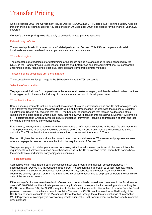# <span id="page-9-0"></span>Transfer Pricing

On 5 November 2020, the Government issued Decree 132/2020/ND-CP ("Decree 132"), setting out new rules on transfer pricing in Vietnam. Decree 132 took effect on 20 December 2020, and applies for the financial year 2020 onwards.

Vietnam's transfer pricing rules also apply to domestic related party transactions.

### Related party definition

The ownership threshold required to be a 'related party' under Decree 132 is 25%. A company and certain individuals are also considered related parties in certain circumstances.

### TP methodologies

The acceptable methodologies for determining arm's length pricing are analogous to those espoused by the OECD in the Transfer Pricing Guidelines for Multinational Enterprises and Tax Administrations, i.e. comparable uncontrolled price, resale price, cost plus, profit split and comparable profits methods.

#### Tightening of the acceptable arm's length range

The acceptable arm's length range is the 35th percentile to the 75th percentile.

#### Selection of comparables

Taxpayers must first look for comparables in the same local market or region, and then broaden to other countries in the region which have similar industry circumstances and economic development level.

#### TP declaration forms

Compliance requirements include an annual declaration of related party transactions and TP methodologies used, and a taxpayer confirmation of the arm's length value of their transactions (or otherwise the making of voluntary adjustments). Decree 132 requires that the TP method applied must ensure that there is no decrease of tax liabilities to the state budget, which could imply that no downward adjustments are allowed. Decree 132 contains a TP declaration form which requires disclosure of detailed information, including segmentation of profit and loss by related party and third party transactions.

Furthermore, taxpayers are required to make declarations of information contained in the local file and master file. This implies that this information should be available before the TP declaration forms are submitted to the tax authority. The TP declaration forms must be submitted together with the annual CIT return.

Decree 132 gives the tax authorities the power to use internal databases for TP assessment purposes in cases where a taxpayer is deemed non-compliant with the requirements of Decree 132.

Taxpayers engaged in related party transactions solely with domestic related parties could be exempt from the requirements to disclose information on such transactions in the TP declaration forms, where both parties have the same tax rate and neither party enjoys tax incentives.

### TP documentation

Companies which have related party transactions must also prepare and maintain contemporaneous TP documentation. Decree 132 introduced a three-tiered TP documentation approach to collect more tax-related information on multinational companies' business operations, specifically, a master file, a local file and country-by-country report ("CbCR"). The three-tiered TP documentation has to be prepared before the submission date of the annual tax return.

If the taxpayer's ultimate parent resides in Vietnam and has worldwide consolidated revenues in the fiscal year of over VND 18,000 billion, the ultimate parent company in Vietnam is responsible for preparing and submitting the CbCR. Under Decree 132, the CbCR is required to be filed with the tax authorities within 12 months from the fiscal year-end. However, if the ultimate parent is outside Vietnam, the CbCR is not required to be filed locally, if the CbCR can be made available to the Vietnamese tax authorities through the automatic exchange of information ("AEOI") procedure. A company is however required to submit the CbCR and relevant notification locally in certain circumstances.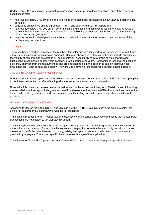Under Decree 132, a taxpayer is exempt from preparing transfer pricing documentation if one of the following conditions is met:

- has revenue below VND 50 billion and total value of related party transactions below VND 30 billion in a tax period; or
- concludes an advance pricing agreement ("APA") and submits annual APA report(s); or
- has revenue below VND 200 billion, performs simple functions and achieves at least the following ratios of earnings before interest and tax to revenue from the following businesses: distribution (5%), manufacturing (10%), processing (15%); or
- only has domestic related party transactions,and related parties have the same tax rate; and none of the parties enjoy tax incentives.

### TP audits

There has been a marked increase in the number of transfer pricing audits performed in recent years, with these adopting an increasingly sophisticated approach. Common challenges by the tax authorities include questions on the validity of comparables selected in TP documentation, deductibility of intra-group service charges and fluctuations in segmented and/or whole company profit margins over years. Companies in loss-making positions also draw attention from the tax authorities and are expected to be in the position to explain their business circumstances. Most general tax audits will now include a review of the taxpayer's transfer pricing position.

### 30% of EBITDA cap on total interest expenses

Under Decree 132, the cap on tax deductibility of interest increased from 20% to 30% of EBITDA. The cap applies to net interest expense (i.e. after offsetting with interest income from loans and deposits).

Non-deductible interest expenses can be carried forward to the subsequent five years. Certain types of financing are excluded from the cap, including interest on official development assistance (ODA) loans, various preferential loans made by the government, and loans made for implementing national programs and state social benefit policies.

# Advance Pricing Agreement ("APA")

According to Decree 126/2020/ND-CP and Circular 45/2021/TT-BTC, taxpayers have the option to enter into unilateral, bilateral or multilateral APAs with the tax authorities.

Transactions proposed for an APA application must satisfy certain conditions. A key condition is that related party transactions are not subject to tax dispute/ tax appeal.

The APA application process comprises five stages, prefiling (optional), official filing, assessment, discussion & negotiation and conclusion. During the APA assessment stage, the tax authorities can apply tax administrative measures to verify the completeness, accuracy, validity and appropriateness of information and documents provided by taxpayers. There is no specific timeline for each stage of the application.

The effective APA period is 3 years, but cannot exceed the number of years the taxpayers operate in Vietnam.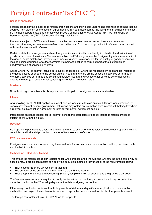# <span id="page-11-0"></span>Foreign Contractor Tax ("FCT")

### Scope of application

Foreign contractor tax is applied to foreign organisations and individuals undertaking business or earning income sourced from Vietnam on the basis of agreements with Vietnamese parties (including foreign owned companies). FCT is not a separate tax, and normally comprises a combination of Value Added Tax ("VAT") and CIT, or Personal income tax ("PIT") for income of foreign individuals.

Payments subject to FCT include interest, royalties, service fees, leases rentals, insurance premiums, transportation fees, income from transfers of securities, and from goods supplied within Vietnam or associated with services rendered in Vietnam.

Certain distribution arrangements where foreign entities are directly or indirectly involved in the distribution of goods or provision of services in Vietnam are subject to FCT – e.g. where the foreign entity retains ownership of the goods, bears distribution, advertising or marketing costs, is responsible for the quality of goods or services, making pricing decisions, or authorises/hires Vietnamese entities to carry out part of the distribution of goods/provision of services in Vietnam.

Cases where FCT is exempt include pure supply of goods (i.e. where the responsibility, cost and risk relating to the goods passes at or before the border gate of Vietnam and there are no associated services performed in Vietnam), services performed and consumed outside Vietnam and various other services performed wholly outside Vietnam (e.g. certain repairs, training, advertising, promotion, etc.).

### Dividends

No withholding or remittance tax is imposed on profits paid to foreign corporate shareholders.

### Interest

A withholding tax of 5% CIT applies to interest paid on loans from foreign entities. Offshore loans provided by certain government or semi-government institutions may obtain an exemption from interest withholding tax where a relevant double taxation agreement or inter-governmental agreement applies.

Interest paid on bonds (except for tax exempt bonds) and certificates of deposit issued to foreign entities is subject to 5% withholding tax.

### **Royalties**

FCT applies to payments to a foreign entity for the right to use or for the transfer of intellectual property (including copyrights and industrial properties), transfer of technology or software.

# FCT payment methods

Foreign contractors can choose among three methods for tax payment - the deduction method, the direct method and the hybrid method.

# Method One – Deduction Method

This entails the foreign contractor registering for VAT purposes and filing CIT and VAT returns in the same way as a local entity. Foreign contractors can apply the deduction method if they meet all of the requirements below:

- They have a PE or are tax resident in Vietnam;
- The duration of the project in Vietnam is more than 182 days; and
- They adopt the full Vietnam Accounting System, complete a tax registration and are granted a tax code.

The Vietnamese customer is required to notify the tax office that the foreign contractor will pay tax under the deduction method within 20 working days from the date of signing the contract.

If the foreign contractor carries out multiple projects in Vietnam and qualifies for application of the deduction method for one project, the contractor is required to apply the deduction method for its other projects as well.

The foreign contractor will pay CIT at 20% on its net profits.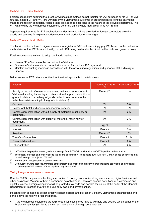### Method Two – Direct Method

Foreign contractors adopting the direct (or withholding) method do not register for VAT purposes or file CIT or VAT returns. Instead CIT and VAT are withheld by the Vietnamese customer at prescribed rates from the payments made to the foreign contractor. Various rates are specified according to the nature of the activities performed. The VAT withheld by the Vietnamese customer is generally an allowable input credit in its VAT return.

Separate requirements for FCT declarations under this method are provided for foreign contractors providing goods and services for exploration, development and production of oil and gas.

### Method Three – Hybrid Method

The hybrid method allows foreign contractors to register for VAT and accordingly pay VAT based on the deduction method (i.e. output VAT less input VAT), but with CIT being paid under the direct method rates on gross turnover.

Foreign contractors wishing to adopt the hybrid method must:

- Have a PE in Vietnam or be tax resident in Vietnam;
- Operate in Vietnam under a contract with a term of more than 182 days; and
- Maintain accounting records in accordance with the accounting regulations and guidance of the Ministry of Finance.

Below are some FCT rates under the direct method applicable to certain cases:

| <b>Industry</b>                                                                                                                                                                                                                                                          | Deemed VAT rate<br>(2) | Deemed CIT rate |
|--------------------------------------------------------------------------------------------------------------------------------------------------------------------------------------------------------------------------------------------------------------------------|------------------------|-----------------|
| Supply of goods in Vietnam or associated with services rendered in<br>Vietnam (including in-country export-import and import, distribution of<br>goods in Vietnam or delivery of goods under Incoterms where the<br>seller bears risks relating to the goods in Vietnam) | Exempt $(1)$           | $1\%$           |
| <b>Services</b>                                                                                                                                                                                                                                                          | 5%                     | 5%              |
| Restaurant, hotel and casino management services                                                                                                                                                                                                                         | 5%                     | 10%             |
| Construction, installation without supply of materials, machinery or<br>equipment.                                                                                                                                                                                       | 5%                     | 2%              |
| Construction, installation with supply of materials, machinery or<br>equipment.                                                                                                                                                                                          | 3%                     | 2%              |
| Transportation                                                                                                                                                                                                                                                           | $3\%$ (3)              | 2%              |
| Interest                                                                                                                                                                                                                                                                 | Exempt                 | 5%              |
| <b>Royalties</b>                                                                                                                                                                                                                                                         | Exempt $(4)$           | 10%             |
| Transfer of securities                                                                                                                                                                                                                                                   | Exempt                 | 0.1%            |
| <b>Financial derivatives</b>                                                                                                                                                                                                                                             | Exempt                 | 2%              |
| Other activities                                                                                                                                                                                                                                                         | $2\%$                  | 2%              |

 $(1)$  VAT will not be payable where goods are exempt from FCT-VAT or where import VAT is paid upon importation.

 $(2)$  The supply of goods and/or services to the oil and gas industry is subject to 10% VAT rate. Certain goods or services may be VAT exempt or subject to 5% VAT.

(3) International transportation is subject to 0% VAT.

(4) Computer software licences, transfers of technology and intellectual property rights (including copyrights and industrial properties) are VAT exempt. Other royalties may attract VAT.

#### Taxing foreign e-commerce businesses

Circular 80/2021 stipulates a tax filing mechanism for foreign companies doing e-commerce, digital business and other business in Vietnam without a permanent establishment. There are specific definitions of e-commerce and digital business. Foreign companies will be granted a tax code and declare tax online at the portal of the General Department of Taxation ("GDT") on a quarterly basis and pay tax online.

If such foreign companies do not directly register, declare and pay tax in Vietnam, Vietnamese organisations and parties have the following responsibilities.

If the Vietnamese customers are registered businesses, they have to withhold and declare tax on behalf of the foreign companies (similar to the current mechanism of foreign contractor tax).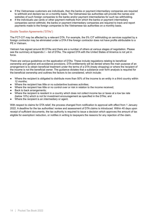- If the Vietnamese customers are individuals, then the banks or payment intermediary companies are required to withhold and declare tax on a monthly basis. The Vietnamese tax authorities will provide the names and websites of such foreign companies to the banks and/or payment intermediaries for such tax withholding.
- If the individuals use cards or other payment methods from which the banks or payment intermediary companies cannot withhold, the banks or payment intermediary companies are required to track and report payments made to the foreign companies to the Vietnamese tax authorities on a monthly basis.

### Double Taxation Agreements ("DTAs")

The FCT-CIT may be affected by a relevant DTA. For example, the 5% CIT withholding on services supplied by a foreign contractor may be eliminated under a DTA if the foreign contractor does not have profits attributable to a PE in Vietnam.

Vietnam has signed around 80 DTAs and there are a number of others at various stages of negotiation. Please see the summary at Appendix I – list of DTAs. The signed DTA with the United States of America is not yet in force.

There are various guidelines on the application of DTAs. These include regulations relating to beneficial ownership and general anti-avoidance provisions. DTA entitlements will be denied where the main purpose of an arrangement is to obtain beneficial treatment under the terms of a DTA (treaty shopping) or where the recipient of the income is not the beneficial owner. The guidance dictates that a substance over form analysis is required for the beneficial ownership and outlines the factors to be considered, which include:

- Where the recipient is obligated to distribute more than 50% of the income to an entity in a third country within 12 months;
- Where the recipient has little or no substantive business activities;
- Where the recipient has little or no control over or risk in relation to the income received;
- Back to back arrangements:
- Where the recipient is resident in a country which does not collect income tax or taxes at a low tax rate (below 10%) which is not for investment encouragement as specified in the DTAs; and
- Where the recipient is an intermediary or agent.

With respect to claims for DTA relief, the process changed from notification to approval with effect from 1 January 2022. A deadline for the tax authorities' review and assessment of DTA claims is introduced. Within 40 days upon receipt of sufficient documents, the tax authority is required to issue a decision which approves the amount of tax eligible for exemption/ reduction, or notifies in writing to taxpayers the reasons for any rejection of the claim.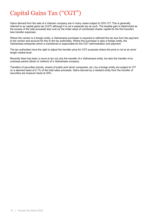# <span id="page-14-0"></span>Capital Gains Tax ("CGT")

Gains derived from the sale of a Vietnam company are in many cases subject to 20% CIT. This is generally referred to as capital gains tax (CGT) although it is not a separate tax as such. The taxable gain is determined as the excess of the sale proceeds less cost (or the initial value of contributed charter capital for the first transfer) less transfer expenses.

Where the vendor is a foreign entity, a Vietnamese purchaser is required to withhold the tax due from the payment to the vendor and account for this to the tax authorities. Where the purchaser is also a foreign entity, the Vietnamese enterprise which is transferred is responsible for the CGT administration and payment.

The tax authorities have the right to adjust the transfer price for CGT purposes where the price is not at an arms' length market level.

Recently there has been a move to tax not only the transfer of a Vietnamese entity, but also the transfer of an overseas parent (direct or indirect) of a Vietnamese company.

Transfers of securities (bonds, shares of public joint stock companies, etc.) by a foreign entity are subject to CIT on a deemed basis at 0.1% of the total sales proceeds. Gains derived by a resident entity from the transfer of securities are however taxed at 20%.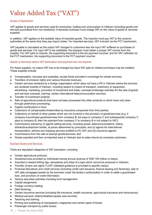# <span id="page-15-0"></span>Value Added Tax ("VAT")

# Scope of Application

VAT applies to goods and services used for production, trading and consumption in Vietnam (including goods and services purchased from non-residents). A domestic business must charge VAT on the value of goods or services supplied.

In addition, VAT applies on the dutiable value of imported goods. The importer must pay VAT to the customs authorities at the same time they pay import duties. For imported services, VAT is levied via the FCT mechanism.

VAT payable is calculated as the output VAT charged to customers less the input VAT suffered on purchases of goods and services. For input VAT to be creditable, the taxpayer must obtain a proper VAT invoice from the supplier. For VAT paid on imports, the supporting document is the tax payment voucher, and for VAT collected via the FCT mechanism, the supporting document is the FCT payment voucher.

# Goods or Services where VAT declaration and payment are not required

For these supplies, no output VAT has to be charged but input VAT paid on related purchases may be credited. These supplies include:

- Compensation, bonuses and subsidies, except those provided in exchange for certain services;
- Transfers of emission rights and various financial revenues;
- Certain services rendered by a foreign organisation which does not have a PE in Vietnam where the services are rendered outside of Vietnam, including repairs to means of transport, machinery or equipment, advertising, marketing, promotion of investment and trade; overseas brokerage activities for the sale of goods and services overseas, training, certain international telecommunication services;
- Transfer of investment projects;
- Sale of agricultural products that have not been processed into other products or which have only been through preliminary processing;
- Capital contributions in kind;
- Collections of compensation/indemnities by insurance companies from third parties;
- Collections on behalf of other parties which are not involved in the provision of goods/services (e.g. if company A purchases goods/services from company B, but pays to company C and subsequently company C pays to company B, then the payment from company C to company B is not subject to VAT);
- Commissions earned by (i) agents selling services, including postal, telecommunications, lottery, airlines/bus/ship/train tickets, at prices determined by principals; and (ii) agents for international transportation, airlines and shipping services entitled to 0% VAT; and (iii) insurance agents;
- Commissions from the sale of exempt goods/services; and
- Goods exported and then re-imported back to Vietnam due to sales returns by overseas customers.

# Exempt Goods and Services

There are stipulated categories of VAT exemption, including:

- Certain agricultural products;
- Goods/services provided by individuals having annual revenue of VND 100 million or below;
- Imported or leased drilling rigs, aeroplanes and ships of a type which cannot be produced in Vietnam;
- Transfer of land use rights ("LUR") (detailed guidance is provided to specific cases);
- Financial derivatives and credit services (including credit card issuance, finance leasing and factoring); sale of VAT able mortgaged assets by the borrower under the lender's authorization in order to settle a guaranteed loan, and provision of credit information;
- Various securities activities including fund management;
- Capital assignment;
- Foreign currency trading;
- Debt factoring;
- Certain insurance services (including life insurance, health insurance, agricultural insurance and reinsurance);
- Medical services; elderly/disabled people care services;
- Teaching and training;
- Printing and publishing of newspapers, magazines and certain types of books;
- Passenger transport by public buses;
- 16 | Pocket Tax Book 2022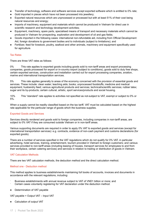- Transfer of technology, software and software services except exported software which is entitled to 0% rate;
- Gold imported in pieces which have not been processed into jewellery;
- Exported natural resources which are unprocessed or processed but with at least 51% of their cost being natural resources and energy;
- Imports of machinery, equipment and materials which cannot be produced in Vietnam for direct use in scientific research and technology development activities;
- Equipment, machinery, spare parts, specialised means of transport and necessary materials which cannot be produced in Vietnam for prospecting, exploration and development of oil and gas fields;
- Goods imported in the following cases: international non-refundable aid, including from Official Development Aid, foreign donations to government bodies and to individuals (subject to limitations); and
- Fertilizer, feed for livestock, poultry, seafood and other animals, machinery and equipment specifically used for agriculture.

### Tax Rates

There are three VAT rates as follows:

0% This rate applies to exported goods including goods sold to non-tariff areas and export processing companies, goods processed for export or in-country export (subject to conditions), goods sold to duty free shops, certain exported services, construction and installation carried out for export processing companies, aviation, marine and international transportation services.

5% This rate applies generally to areas of the economy concerned with the provision of essential goods and services. These include: clean water; teaching aids; books; unprocessed foodstuffs; medicine and medical equipment; husbandry feed; various agricultural products and services; technical/scientific services; rubber latex; sugar and its by-products; certain cultural, artistic, sport services/products and social housing.

10% This "standard" rate applies to activities not specified as not-subject to VAT, exempt or subject to 0% or 5%.

When a supply cannot be readily classified based on the tax tariff, VAT must be calculated based on the highest rate applicable for the particular range of goods which the business supplies.

# Exported Goods and Services

Services directly rendered and goods sold to foreign companies, including companies in non-tariff areas, are subject to 0% VAT if they are consumed outside Vietnam or in non-tariff areas.

Various supporting documents are required in order to apply 0% VAT to exported goods and services (except for international transportation services): e.g. contracts, evidence of non-cash payment and customs declarations (for exported goods).

There are a number of services specified in the VAT regulations which do not qualify for 0% VAT, in particular advertising, hotel services, training, entertainment, tourism provided in Vietnam to foreign customers; and various services provided to non-tariff areas (including leasing of houses, transport services for employees to and from their workplace, certain catering services) and services in relation to trading or distribution of goods in Vietnam.

### VAT Calculation Methods

There are two VAT calculation methods, the deduction method and the direct calculation method.

### Method one - Deduction method

This method applies to business establishments maintaining full books of accounts, invoices and documents in accordance with the relevant regulations, including:

- Business establishments with annual revenue subject to VAT of VND1 billion or more; and Certain cases voluntarily registering for VAT declaration under the deduction method.
- Determination of VAT payable

VAT payable = Output VAT – Input VAT

● Calculation of output VAT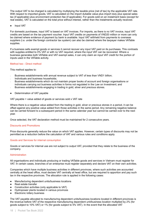The output VAT to be charged is calculated by multiplying the taxable price (net of tax) by the applicable VAT rate. With respect to imported goods, VAT is calculated on the import dutiable value plus import duty plus special sales tax (if applicable) plus environment protection fee (if applicable). For goods sold on an instalment basis (except for real estate), VAT is calculated on the total price without interest, rather than the instalments actually received.

● Input VAT

For domestic purchases, input VAT is based on VAT invoices. For imports, as there is no VAT invoice, input VAT credits are based on the tax payment voucher. Input VAT credits on payments of VND20 million or more can only be claimed where evidence of payment by bank is available. Input VAT withheld from payments to overseas suppliers (i.e. under the foreign contractor tax system) can also be claimed where the taxpayer makes VATable supplies.

If a business sells exempt goods or services it cannot recover any input VAT paid on its purchases. This contrasts with supplies entitled to 0% VAT or with no VAT required, where the input VAT can be recovered. Where a business generates both VATable and VAT exempt sales, it can only claim an input VAT credit for the portion of inputs used in the VATable activity.

### Method two - Direct method

This method applies to:

- Business establishments with annual revenue subject to VAT of less than VND1 billion;
- Individuals and business households;
- Business establishments which do not maintain proper books of account and foreign organisations or individuals carrying out business activities in forms not regulated in the Law on Investment; and
- ₋ Business establishments engaging in trading in gold, silver and precious stones.
- Determination of VAT payable

VAT payable = value added of goods or services sold x VAT rate

Where there is a negative value added from the trading in gold, silver or precious stones in a period, it can be offset against any positive value added from those activities in the same period. Any remaining negative balance can be carried forward to a subsequent period in the same calendar year but cannot be carried over to the next year.

Once selected, the VAT declaration method must be maintained for 2 consecutive years.

### Discounts and Promotions

Price discounts generally reduce the value on which VAT applies. However, certain types of discounts may not be permitted as a reduction before the calculation of VAT and various rules and conditions apply.

# Goods and Services for internal consumption

Goods or services for internal use are not subject to output VAT, provided that they relate to the business of the company.

### **Administration**

All organisations and individuals producing or trading VATable goods and services in Vietnam must register for VAT. In certain cases, branches of an enterprise must register separately and declare VAT on their own activities.

Companies which have multiple business activities in different provinces, where such activities are accounted centrally at the head office, must declare VAT centrally at head office, but are required to apportion and pay such tax in the respective provinces. The allocation rule is applied in the following cases:

- Manufacturing dependent units/business locations
- Real estate transfer
- Construction activities (only applicable to VAT)
- Hydropower plants located in various provinces
- Electronic lottery business

The VAT payable allocated to manufacturing dependent units/business locations located in different provinces is the revenue before VAT of the respective manufacturing dependent unit/business location multiplied by 2% (for goods subject to 10% VAT) or 1% (for goods subject to 5% VAT). In the event that the allocated VAT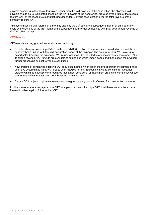payable according to the above formula is higher than the VAT payable of the head office, the allocated VAT payable should be re- calculated based on the VAT payable of the head office, prorated by the ratio of the revenue (before VAT) of the respective manufacturing dependent unit/business location over the total revenue of the company (before VAT).

Taxpayers must file VAT returns on a monthly basis by the 20<sup>th</sup> day of the subsequent month, or on a quarterly basis by the last day of the first month of the subsequent quarter (for companies with prior year annual revenue of VND 50 billion or less).

# VAT Refunds

VAT refunds are only granted in certain cases, including:

- Exporters having excess input VAT credits over VND300 million. The refunds are provided on a monthly or quarterly basis, in line with the VAT declaration period of the taxpayer. The amount of input VAT relating to export sales (meeting the criteria for VAT refunds) that can be refunded to a taxpayer must not exceed 10% of its export revenue. VAT refunds are available to companies which import goods and then export them without further processing subject to various conditions;
- New projects of companies adopting VAT deduction method which are in the pre-operation investment phase and have accumulated input VAT credits over VND300 million. Exceptions include conditional investment projects which do not satisfy the regulated investment conditions, or investment projects of companies whose charter capital has not yet been contributed as regulated; and
- Certain ODA projects, diplomatic exemption, foreigners buying goods in Vietnam for consumption overseas.

In other cases where a taxpayer's input VAT for a period exceeds its output VAT, it will have to carry the excess forward to offset against future output VAT.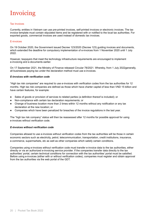# <span id="page-19-0"></span>Invoicing

### Tax Invoices

Currently, entities in Vietnam can use pre-printed invoices, self-printed invoices or electronic invoices. The tax invoice template must contain stipulated items and be registered with or notified to the local tax authorities. For exported goods, commercial invoices are used instead of domestic tax invoices.

### E-invoices

On 19 October 2020, the Government issued Decree 123/2020 (Decree 123) guiding invoices and documents, which extended the deadline for compulsory implementation of e-invoices from 1 November 2020 until 1 July 2022.

However, taxpayers that meet the technology infrastructure requirements are encouraged to implement e-invoicing and e-documents earlier.

On 17 September 2021, the Ministry of Finance released Circular 78/2021. Whereby, from 1 July 2022generally, all businesses paying tax under the declaration method must use e-invoices.

# *E-invoices with verification code*

"High tax risk companies" are required to use e-invoices with verification codes from the tax authorities for 12 months. High tax risk companies are defined as those which have charter capital of less than VND 15 billion and have certain features, for example:

- Sales of goods or provision of services to related parties (a definition thereof is included); or
- Non-compliance with certain tax declaration requirements; or
- Change of business location more than 2 times within 12 months without any notification or any tax declaration at the new location; or
- Companies which have been penalized for breaches of the invoice regulations in the last year.

The "high tax risk company" status will then be reassessed after 12 months for possible approval for using e-invoices without verification code.

# *E-invoices without verification code*

Companies allowed to use e-invoices without verification codes from the tax authorities will be those in certain economic sectors such as electricity, petrol, telecommunication, transportation, credit institutions, insurance, e-commerce, supermarkets, etc as well as other companies which satisfy certain conditions.

Companies using e-invoices without verification code must transfer e-invoice data to the tax authorities, either directly or via an authorized e-invoicing service provider. If the companies transfer data directly to the tax authorities' portal, certain technical conditions for connection with the tax authorities' portal must be satisfied. Before using e-invoices (either with or without verification codes), companies must register and obtain approval from the tax authorities via the web portal of the GDT.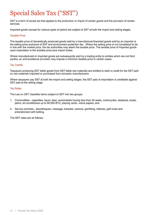# <span id="page-20-0"></span>Special Sales Tax ("SST")

SST is a form of excise tax that applies to the production or import of certain goods and the provision of certain services.

Imported goods (except for various types of petrol) are subject to SST at both the import and selling stages.

### Taxable Price

The taxable price of domestically produced goods sold by a manufacturer/imported goods sold by an importer is the selling price exclusive of SST and environment protection fee. Where the selling price is not considered to be in line with the market price, the tax authorities may deem the taxable price. The taxable price of imported goods upon importation is the dutiable price plus import duties.

Where manufactured or imported goods are subsequently sold by a trading entity to entities which are not third parties, an anti-avoidance provision may impose a minimum taxable price in certain cases.

### Tax Credits

Taxpayers producing SST liable goods from SST liable raw materials are entitled to claim a credit for the SST paid on raw materials imported or purchased from domestic manufacturers.

Where taxpayers pay SST at both the import and selling stages, the SST paid at importation is creditable against SST paid at the selling stage.

### Tax Rates

The Law on SST classifies items subject to SST into two groups:

- 1. Commodities cigarettes, liquor, beer, automobiles having less than 24 seats, motorcycles, airplanes, boats, petrol, air-conditioners up to 90,000 BTU, playing cards, votive papers; and
- 2. Service activities discotheques, massage, karaoke, casinos, gambling, lotteries, golf clubs and entertainment with betting.

The SST rates are as follows: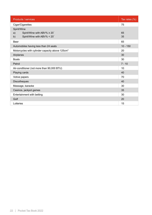| Products / services                                         | Tax rates $(\%)$ |
|-------------------------------------------------------------|------------------|
| Cigar/Cigarettes                                            | 75               |
| Spirit/Wine                                                 |                  |
| Spirit/Wine with ABV% $\geq 20^\circ$<br>a)                 | 65               |
| Spirit/Wine with ABV% < 20°<br>b)                           | 35               |
| <b>Beer</b>                                                 | 65               |
| Automobiles having less than 24 seats                       | $10 - 150$       |
| Motorcycles with cylinder capacity above 125cm <sup>3</sup> | 20               |
| Airplanes                                                   | 30               |
| <b>Boats</b>                                                | 30               |
| Petrol                                                      | $7 - 10$         |
| Air-conditioner (not more than 90,000 BTU)                  | 10               |
| Playing cards                                               | 40               |
| Votive papers                                               | 70               |
| <b>Discotheques</b>                                         | 40               |
| Massage, karaoke                                            | 30               |
| Casinos, jackpot games                                      | 35               |
| Entertainment with betting                                  | 30               |
| Golf                                                        | 20               |
| Lotteries                                                   | 15               |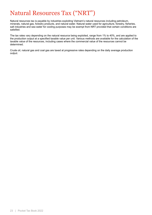# <span id="page-22-0"></span>Natural Resources Tax ("NRT")

Natural resources tax is payable by industries exploiting Vietnam's natural resources including petroleum, minerals, natural gas, forestry products, and natural water. Natural water used for agriculture, forestry, fisheries, salt industries and sea water for cooling purposes may be exempt from NRT provided that certain conditions are satisfied.

The tax rates vary depending on the natural resource being exploited, range from 1% to 40%, and are applied to the production output at a specified taxable value per unit. Various methods are available for the calculation of the taxable value of the resources, including cases where the commercial value of the resources cannot be determined.

Crude oil, natural gas and coal gas are taxed at progressive rates depending on the daily average production output.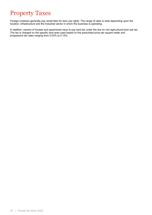# <span id="page-23-0"></span>Property Taxes

Foreign investors generally pay rental fees for land use rights. The range of rates is wide depending upon the location, infrastructure and the industrial sector in which the business is operating.

In addition, owners of houses and apartments have to pay land tax under the law on non-agricultural land use tax. The tax is charged on the specific land area used based on the prescribed price per square meter and progressive tax rates ranging from 0.03% to 0.15%.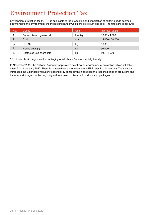# <span id="page-24-0"></span>Environment Protection Tax

Environment protection tax ("EPT") is applicable to the production and importation of certain goods deemed detrimental to the environment, the most significant of which are petroleum and coal. The rates are as follows:

| No. | Goods                        | <b>Unit</b> | Tax rate (VND)  |
|-----|------------------------------|-------------|-----------------|
| 1.  | Petrol, diesel, grease, etc. | litre/kg    | $1,000 - 4,000$ |
| 2.  | Coal                         | ton         | 15,000 - 30,000 |
| 3.  | <b>HCFCs</b>                 | kg          | 5,000           |
| 4.  | Plastic bags (*)             | kg          | 50,000          |
| 5.  | Restricted use chemicals     | kg          | $500 - 1,000$   |

\* Excludes plastic bags used for packaging or which are "environmentally friendly".

In November 2020, the National Assembly approved a new Law on environmental protection, which will take effect from 1 January 2022. There is no specific change to the above EPT rates in this new law. The new law introduces the Extended Producer Responsibility concept which specifies the responsibilities of producers and importers with regard to the recycling and treatment of discarded products and packages.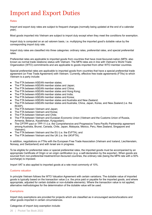# <span id="page-25-0"></span>Import and Export Duties

### **Rates**

Import and export duty rates are subject to frequent changes (normally being updated at the end of a calendar year).

Most goods imported into Vietnam are subject to import duty except when they meet the conditions for exemption.

Import duty is computed on an ad valorem basis, i.e. multiplying the imported good's dutiable value by the corresponding import duty rate.

Import duty rates are classified into three categories: ordinary rates, preferential rates, and special preferential rates.

Preferential rates are applicable to imported goods from countries that have most-favoured-nation (MFN, also known as normal trade relations) status with Vietnam. The MFN rates are in line with Vietnam's World Trade Organization (WTO) commitments and are applicable to goods imported from other WTO member countries.

Special preferential rates are applicable to imported goods from countries that have a special preferential trade agreement (or Free Trade Agreement) with Vietnam. Currently, effective free trade agreements (FTAs) to which Vietnam is a party include:

- The FTA between ASEAN member states;
- The FTA between ASEAN member states and Japan;
- The FTA between ASEAN member states and China;
- The FTA between ASEAN member states and Hong Kong;
- The FTA between ASEAN member states and India:
- The FTA between ASEAN member states and Korea;
- The FTA between ASEAN member states and Australia and New Zealand;
- The FTA between ASEAN member states and Australia, China, Japan, Korea, and New Zealand (i.e. the RCEP);
- The FTA between Vietnam and Japan;
- The FTA between Vietnam and Korea:
- The FTA between Vietnam and Chile;
- The FTA between Vietnam and Eurasian Economic Union (Vietnam and the Customs Union of Russia, Armenia, Belarus, Kazakhstan, Kyrgyzstan);
- The CPTPP pact or TPP-11 (i.e. the Comprehensive and Progressive Trans-Pacific Partnership agreement among Australia, Brunei, Canada, Chile, Japan, Malaysia, Mexico, Peru, New Zealand, Singapore and Vietnam);
- The FTA between Vietnam and the EU (i.e. the EVFTA); and
- The FTA between Vietnam and the UK (i.e. the UKVFTA).

In addition, negotiations on FTAs with the European Free Trade Association (Vietnam and Iceland, Liechtenstein, Norway, and Switzerland) and with Israel are in progress.

To be eligible for preferential rates or special preferential rates, the imported goods must be accompanied by an appropriate Certificate of Origin or an origin certification (e.g. a self-declaration by the exporter). When goods are sourced from non-preferential treatment/non-favoured countries, the ordinary rate (being the MFN rate with a 50% surcharge) is imposed.

Import VAT is also applied to imported goods at a rate most commonly of 10%.

### Customs valuation

In principle Vietnam follows the WTO Valuation Agreement with certain variations. The dutiable value of imported goods is typically based on the transaction value (i.e. the price paid or payable for the imported goods, and where appropriate, adjusted for certain dutiable or non-dutiable elements). Where the transaction value is not applied, alternative methodologies for the determination of the dutiable value will be used.

# **Exemptions**

Import duty exemptions are provided for projects which are classified as in encouraged sectors/locations and other goods imported in certain circumstances.

### Categories of import duty exemption include: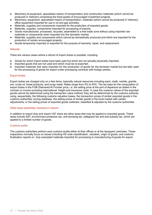- Machinery & equipment, specialised means of transportation and construction materials (which cannot be produced in Vietnam) comprising the fixed assets of encouraged investment projects;
- Machinery, equipment, specialised means of transportation, materials (which cannot be produced in Vietnam), office equipment imported for use in oil and gas activities;
- Materials, supplies and components imported for the production of exported goods;
- Materials, supplies, components imported for processing of exports;
- Goods manufactured, processed, recycled, assembled in a free trade zone without using imported raw materials or components when imported into the domestic market;
- Materials, supplies and components which cannot be domestically produced and which are imported for the production of certain encouraged projects;
- Goods temporarily imported or exported for the purpose of warranty, repair, and replacement.

### **Refunds**

There are various cases where a refund of import duties is possible, including:

- Goods for which import duties have been paid but which are not actually physically imported;
- Imported goods that are not used and which must be re-exported:
- Imported materials that were imported for the production of goods for the domestic market but are later used for the processing of goods for export under processing contracts with foreign parties.

# Export Duties

Export duties are charged only on a few items, basically natural resources including sand, chalk, marble, granite, ore, crude oil, forest products, and scrap metal. Rates range from 0% to 40%. The tax base for the computation of export duties is the FOB /Delivered At Frontier price, i.e. the selling price at the port of departure as stated in the contract or invoice excluding international freight and insurance costs. In case the customs values of the exported goods cannot be determined using the transaction value method, they will be determined by the customs authority using, sequentially, the following customs valuation bases: the transaction prices of similar exported goods in the customs authorities' pricing database, the selling prices of similar goods in the local market with certain adjustments, or the selling prices of exported goods collected, classified & adjusted by the customs authorities.

### Other taxes potentially imposed on imports

In addition to import duty and import VAT, there are other taxes that may be applied to imported goods. These taxes include SST, environment protection tax, anti-dumping tax, safeguard tax and anti-subsidy tax, which are applied to a limited number of goods.

### Customs audits

The customs authorities perform post customs audits either at their offices or at the taxpayers' premises. These inspections normally focus on issues including HS code classification, valuation, origin of goods, and customs finalisation reports on duty exempted materials imported for processing or manufacturing of goods for export.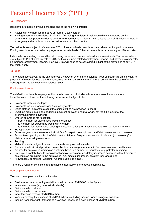# <span id="page-27-0"></span>Personal Income Tax ("PIT")

# Tax Residency

Residents are those individuals meeting one of the following criteria:

- Residing in Vietnam for 183 days or more in a tax year; or
- Having a permanent residence in Vietnam (including a registered residence which is recorded on the permanent / temporary residence card, or a rented house in Vietnam with a lease term of 183 days or more in a tax year) and unable to prove tax residence in another country.

Tax residents are subject to Vietnamese PIT on their worldwide taxable income, wherever it is paid or received. Employment income is taxed on a progressive tax rate basis. Other income is taxed at a variety of different rates.

Individuals not meeting the conditions for being tax resident are considered tax non-residents. Tax non-residents are subject to PIT at a flat tax rate of 20% on their Vietnam related employment income, and at various other rates on their non-employment income. However, this will need to be considered in light of the provisions of any DTA that might apply.

# Tax Year

The Vietnamese tax year is the calendar year. However, where in the calendar year of first arrival an individual is present in Vietnam for less than 183 days, his / her first tax year is the 12 month period from the date of arrival. Subsequently, the tax year is the calendar year.

# Employment Income

The definition of taxable employment income is broad and includes all cash remuneration and various benefits-in-kind. However, the following items are not subject to tax:

- Payments for business trips:
- Payments for telephone charges / stationery costs;
- Office clothes (subject to a cap if the office clothes are provided in cash);
- Overtime premium (i.e. the additional payment above the normal wage, not the full amount of the overtime/nightshift payment);
- One-off allowance for relocation
	- from Vietnam for Vietnamese working overseas
	- ₋ to Vietnam for expatriates working in Vietnam
	- to Vietnam for Vietnamese residing overseas on a long term basis and returning to Vietnam to work;
- Transportation to and from work;
- Once per year home leave round trip airfare for expatriate employees and Vietnamese working overseas;
- School fees up to high school in Vietnam (for children of expatriates working in Vietnam) / overseas (for Vietnamese working overseas);
- Training;
- Mid-shift meals (subject to a cap if the meals are provided in cash);
- Certain benefits in kind provided on a collective basis (e.g. membership fee, entertainment, healthcare);
- Airfares for employees working on a rotation basis in a number of industries (e.g. petroleum, mining);
- Employer's contributions to certain local and overseas non-mandatory insurance schemes without payout of accumulated premiums to the employees (e.g. medical insurance, accident insurance); and
- Allowances / benefits for wedding, funeral (subject to a cap).

There are a range of conditions and restrictions applicable to the above exemptions.

# Non-employment Income

Taxable non-employment income includes:

- Business income (including rental income in excess of VND100 million/year);
- Investment income (e.g. interest, dividends);
- Gains on sale of shares;
- Gains on sale of real estate:
- Inheritances in excess of VND10 million;
- Winning prizes/gifts in excess of VND10 million (excluding income from winnings at casinos);
- Income from copyright / franchising / royalties / receiving gifts in excess of VND10 million.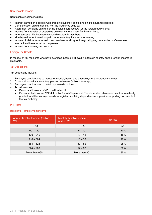### Non Taxable Income

Non taxable income includes:

- Interest earned on deposits with credit institutions / banks and on life insurance policies;
- Compensation paid under life / non-life insurance policies;
- Retirement pensions paid under the Social Insurance law (or the foreign equivalent);
- Income from transfer of properties between various direct family members;
- Inheritances / gifts between various direct family members;
- Monthly retirement pensions paid under voluntary insurance schemes;
- Income of Vietnamese vessel crew members working for foreign shipping companies or Vietnamese international transportation companies;
- Income from winnings at casinos.

# Foreign Tax Credits

In respect of tax residents who have overseas income, PIT paid in a foreign country on the foreign income is creditable.

### Tax Deductions

Tax deductions include:

- 1. Employee contributions to mandatory social, health and unemployment insurance schemes;
- 2. Contributions to local voluntary pension schemes (subject to a cap);
- 3. Employee contributions to certain approved charities;
- 4. Tax allowances:
	- Personal allowance: VND11 million/month:
	- Dependent allowance: VND4.4 million/month/dependent. The dependent allowance is not automatically granted, and the taxpayer needs to register qualifying dependents and provide supporting documents to the tax authority.

### PIT Rates

### Residents - employment income

| Annual Taxable Income (million)<br>VND) | <b>Monthly Taxable Income</b><br>(million VND) | Tax rate |
|-----------------------------------------|------------------------------------------------|----------|
| $0 - 60$                                | $0 - 5$                                        | 5%       |
| $60 - 120$                              | $5 - 10$                                       | 10%      |
| $120 - 216$                             | $10 - 18$                                      | 15%      |
| $216 - 384$                             | $18 - 32$                                      | 20%      |
| $384 - 624$                             | $32 - 52$                                      | 25%      |
| $624 - 960$                             | $52 - 80$                                      | 30%      |
| More than 960                           | More than 80                                   | 35%      |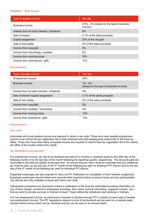### Residents – other income

| Type of taxable income                       | Tax rate                                            |
|----------------------------------------------|-----------------------------------------------------|
| Business income                              | 0.5% - 5% (based on the type of business<br>income) |
| Interest (but not bank interest) / dividends | 5%                                                  |
| Sale of shares                               | 0.1% of the sales proceeds                          |
| Capital assignment                           | 20% of the net gain                                 |
| Sale of real estate                          | 2% of the sales proceeds                            |
| Income from copyright                        | 5%                                                  |
| Income from franchising / royalties          | 5%                                                  |
| Income from winning prizes                   | 10%                                                 |
| Income from inheritances / gifts             | 10%                                                 |

### Non-residents

| Type of taxable income                       | Tax rate                                              |
|----------------------------------------------|-------------------------------------------------------|
| <b>Employment income</b>                     | <b>20%</b>                                            |
| Business income                              | $1\% - 5\%$<br>(based on the type of business income) |
| Interest (but not bank interest) / dividends | 5%                                                    |
| Sale of shares/ Capital assignment           | 0.1% of the sales proceeds                            |
| Sale of real estate                          | 2% of the sales proceeds                              |
| Income from copyright                        | 5%                                                    |
| Income from royalties / franchising          | 5%                                                    |
| Income from winning prizes                   | 10%                                                   |
| Income from inheritance / gifts              | 10%                                                   |

# Administration

### Tax codes

Individuals who have taxable income are required to obtain a tax code. Those who have taxable employment income must submit the tax registration file to their employer who will subsequently submit this to the local tax office. Those who have other items of taxable income are required to submit their tax registration file to the district tax office of the locality where they reside.

# Tax declarations and payment

For employment income, tax has to be declared and paid on a monthly or quarterly basis by the 20th day of the following month or by the last day of the month following the reporting quarter, respectively. The amounts paid are reconciled to the total tax liability at the year-end. An annual final tax return must be submitted and any additional tax must be paid, by the last day of the 3<sup>rd</sup> month of the following tax year for employer PIT returns and by the last day of the  $4<sup>th</sup>$  month of the following tax year for individual PIT returns.

Expatriate employees are also required to carry out PIT finalisation on completion of their Vietnam assignment. Expatriate employees should review and reconcile their payment history to ensure taxes are duly paid/updated. Tax refunds are only available to those who have a tax code.

Vietnamese companies are required to submit a notification to the local tax authorities providing information on any of them foreign contractor's employees (including their name, income information, passport number, etc.) that are sent to provide services in Vietnam at least 7 days before the individuals start working in Vietnam.

For non-employment income, an individual is required to declare and pay PIT in relation to each type of taxable non-employment income. The PIT regulations require income to be declared and tax paid on a receipts basis (except rental income which can be declared and tax can be paid on an annual basis).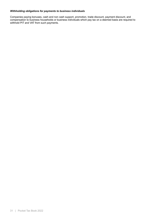# *Withholding obligations for payments to business individuals*

Companies paying bonuses, cash and non cash support, promotion, trade discount, payment discount, and compensation to business households or business individuals which pay tax on a deemed basis are required to withhold PIT and VAT from such payments.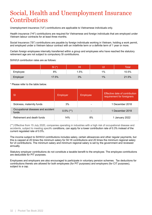# <span id="page-31-0"></span>Social, Health and Unemployment Insurance **Contributions**

Unemployment insurance ("UI") contributions are applicable to Vietnamese individuals only.

Health insurance ("HI") contributions are required for Vietnamese and foreign individuals that are employed under Vietnam labour contracts for at least three months.

Social Insurance ("SI") contributions are payable by foreign individuals working in Vietnam, holding a work permit, and employed under a Vietnam labour contract with an indefinite term or a definite term of 1 year or more.

Certain foreign employees internally transferred within a group and employees who have reached the statutory retirement age are not subject to compulsory SI contributions.

SI/HI/UI contribution rates are as follows:

|          | $S1$ $(*)$ |     |       | Total |
|----------|------------|-----|-------|-------|
| Employee | 8%         | .5% | $1\%$ | 10.5% |
| Employer | 17.5%      | 3%  | $1\%$ | 21.5% |

\* Please refer to the table below.

| <sup>SI</sup>                               | Employer     | Employee | <b>Effective date of contribution</b><br>requirement for foreigners |
|---------------------------------------------|--------------|----------|---------------------------------------------------------------------|
| Sickness, maternity funds                   | 3%           |          | 1 December 2018                                                     |
| Occupational diseases and accident<br>funds | $0.5\%$ (**) |          | 1 December 2018                                                     |
| Retirement and death funds                  | 14%          | 8%       | 1 January 2022                                                      |

(\*\*) Effective from 15 July 2020, companies operating in industries with a high risk of occupational disease and accidents, subject to meeting specific conditions, can apply for a lower contribution rate of 0.3% instead of the current regulated rate of 0.5%.

The income subject to SI/HI/UI contributions includes salary, certain allowances and other regular payments, but this is capped at 20 times the minimum salary for SI/ HI contributions and 20 times the minimum regional salary for UI contributions. The minimum salary and minimum regional salary is set by the government and reviewed annually.

Statutory employer contributions do not constitute a taxable benefit to the employee. The employee contributions are deductible for PIT purposes.

Employees and employers are also encouraged to participate in voluntary pension schemes. Tax deductions for contributions thereto are allowed for both employees (for PIT purposes) and employers (for CIT purposes), subject to a cap.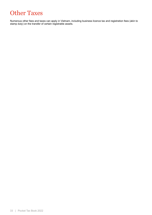# <span id="page-32-0"></span>Other Taxes

Numerous other fees and taxes can apply in Vietnam, including business licence tax and registration fees (akin to stamp duty) on the transfer of certain registrable assets.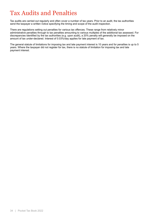# <span id="page-33-0"></span>Tax Audits and Penalties

Tax audits are carried out regularly and often cover a number of tax years. Prior to an audit, the tax authorities send the taxpayer a written notice specifying the timing and scope of the audit inspection.

There are regulations setting out penalties for various tax offences. These range from relatively minor administrative penalties through to tax penalties amounting to various multiples of the additional tax assessed. For discrepancies identified by the tax authorities (e.g. upon audit), a 20% penalty will generally be imposed on the amount of tax under-declared. Interest of 0.03%/day applies for late payment of tax.

The general statute of limitations for imposing tax and late payment interest is 10 years and for penalties is up to 5 years. Where the taxpayer did not register for tax, there is no statute of limitation for imposing tax and late payment interest.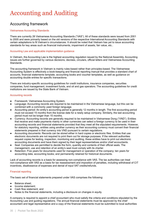# <span id="page-34-0"></span>Accounting and Auditing

# Accounting framework

### Vietnamese Accounting Standards

There are currently 26 Vietnamese Accounting Standards ("VAS"). All of these standards were issued from 2001 to 2005 and were primarily based on the old versions of the respective International Accounting Standards with certain adaptations to fit Vietnam's circumstances. It should be noted that Vietnam has yet to issue accounting standards for key areas such as financial instruments, impairment of assets, fair value, etc..

### Accounting Law and applicable implementation guidance

In Vietnam, the Accounting Law is the highest accounting regulation issued by the National Assembly. Accounting issues are further governed by various decisions, decrees, circulars, official letters and Vietnamese Accounting Standards.

The accounting framework in Vietnam is mainly rules-based rather than principles-based. The Vietnamese Accounting System is effectively a book-keeping and financial reporting manual that provides a standard chart of accounts, financial statements template, accounting books and voucher templates, as well as guidance on accounting double entries for specific transactions.

There are industry-specific accounting guidelines for credit institutions, insurance companies, securities companies, fund management, investment funds, and oil and gas operators. The accounting guidelines for credit institutions are issued by the State Bank of Vietnam.

### Accounting records

- Framework: Vietnamese Accounting System.
- Language: Accounting records are required to be maintained in the Vietnamese language, but this can be combined with a commonly used foreign language.
- Accounting period: An entity's accounting period is generally 12 months in length. The first accounting period must not exceed 15 months from the license date for a newly setup company. Similarly, the last accounting period must not be longer than 15 months.
- Currency: Accounting records are generally required to be maintained in Vietnamese Dong ("VND"). Entities that receive and make payments mainly in other currencies can select a foreign currency to be used in their accounting records and financial statements provided that they meet all the stipulated requirements. However, for statutory reporting, entities using another currency as their accounting currency must convert their financial statements prepared in that currency into VND pursuant to certain regulations.
- Accounting documents: Records can be stored either in hard copies or electronic files. Entities that use electronic documents are not required to print them out for storage purposes. If the relevant authorities request copies for testing, inspection, monitoring and auditing, these entities have to print out electronic accounting documents and have them signed by their legal representatives and/or chief accountants.
- Seal: Companies are permitted to decide the form, quantity and contents of their official seals. The management, use and retention of an entity's seal must comply with its charter.
- Retention: Five years for documents used for management or operation of the company; ten years for accounting data, accounting books; and permanently retained for historical documents.

Lack of accounting records is a basis for assessing non-compliance with VAS. The tax authorities can treat non-compliance with VAS as a basis for tax reassessment and imposition of penalties, including withdrawal of CIT incentives, disallowance of expenses and denial of input VAT credits/refunds.

# Financial reporting

The basic set of financial statements prepared under VAS comprises the following:

- Balance sheet:
- Income statement:
- Cash flow statement; and
- Notes to the financial statements, including a disclosure on changes in equity.

A company is required to appoint a chief accountant who must satisfy the criteria and conditions stipulated by the Accounting Law and guiding regulations. The annual financial statements must be approved by the chief accountant and legal representative and a copy of the financial statements must be submitted to local authorities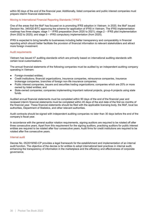within 90 days of the end of the financial year. Additionally, listed companies and public interest companies must prepare interim financial statements.

# Moving to International Financial Reporting Standards ("IFRS")

One of the areas that the MoF has focused on is promoting IFRS adoption in Vietnam. In 2020, the MoF issued Decision No. 345/QD-BTC approving the scheme for application of IFRS in Vietnam. The IFRS implementation roadmap has three stages: stage 1 – IFRS preparation (from 2020 to 2021); stage 2 – IFRS pilot implementation (from 2022 to 2025); and stage 3 – IFRS compulsory implementation (from 2025).

IFRS is expected to bring benefits to businesses including better transparency and comparability in financial reporting which should better facilitate the provision of financial information to relevant stakeholders and attract more foreign investment.

### Audit requirements

Vietnam has issued 47 auditing standards which are primarily based on international auditing standards with certain local customisations.

The annual financial statements of the following companies must be audited by an independent auditing company operating in Vietnam:

- Foreign-invested entities;
- Credit institutions; financial organizations, insurance companies, reinsurance companies, insurance brokerage companies, branches of foreign non-life insurance companies;
- Public interest companies, issuers and securities trading organizations; companies which are 20% or more owned by listed entities; and
- State-owned companies; companies implementing important national projects, group-A projects using state funds.

Audited annual financial statements must be completed within 90 days of the end of the financial year and reviewed interim financial statements must be completed within 45 days of the end date of the first six months of the financial year. These financial statements should be filed with the applicable licensing body, the MoF, local tax authorities, Department of Statistics, and other relevant authorities.

Audit contracts should be signed with independent auditing companies no later than 30 days before the end of the company's fiscal year.

In accordance with the general auditor rotation requirements, signing auditors are required to be rotated off after three consecutive years. Apart from this requirement for the signing auditors, practising auditors for public interest entities are required to be rotated after four consecutive years. Audit firms for credit institutions are required to be rotated after five consecutive years.

### Internal audit

Decree No. 05/2019/ND-CP provides a legal framework for the establishment and implementation of an internal audit function. The objective of the decree is for entities to adopt international best practices in internal audit, enhancing the transparency of information in the marketplace and the efficiency and effectiveness of corporate governance.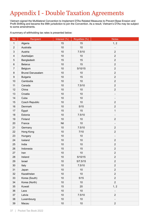# <span id="page-36-0"></span>Appendix I - Double Taxation Agreements

Vietnam signed the Multilateral Convention to Implement DTAs Related Measures to Prevent Base Erosion and Profit Shifting and became the 99th jurisdiction to join the Convention. As a result, Vietnam's DTAs may be subject to some amendments.

A summary of withholding tax rates is presented below:

| <b>No</b>               | Recipient             | Interest (%) | Royalties (%) | <b>Notes</b>             |
|-------------------------|-----------------------|--------------|---------------|--------------------------|
| $\mathbf{1}$            | Algeria               | 15           | 15            | 1, 2                     |
| $\overline{2}$          | Australia             | 10           | 10            |                          |
| $\sqrt{3}$              | Austria               | 10           | 7.5/10        | $\overline{2}$           |
| $\overline{\mathbf{4}}$ | Azerbaijan            | 10           | 10            | $\overline{2}$           |
| $\sqrt{5}$              | Bangladesh            | 15           | 15            | $\overline{2}$           |
| $\,6$                   | <b>Belarus</b>        | 10           | 15            | $\overline{2}$           |
| $\overline{7}$          | Belgium               | 10           | 5/10/15       | $\overline{2}$           |
| 8                       | Brunei Darussalam     | 10           | 10            | $\overline{2}$           |
| $\boldsymbol{9}$        | <b>Bulgaria</b>       | 10           | 15            | $\overline{2}$           |
| 10                      | Cambodia              | 10           | 10            | $\overline{2}$           |
| 11                      | Canada                | 10           | 7.5/10        | $\overline{2}$           |
| 12                      | China                 | 10           | 10            | $\overline{2}$           |
| 13                      | Croatia               | 10           | 10            |                          |
| 14                      | Cuba                  | 10           | 10            |                          |
| 15                      | <b>Czech Republic</b> | 10           | 10            | $\overline{2}$           |
| 16                      | <b>Denmark</b>        | 10           | 5/15          | $\overline{2}$           |
| 17                      | Egypt                 | 15           | 15            | $\mathbf{1}$             |
| 18                      | Estonia               | 10           | 7.5/10        |                          |
| 19                      | Finland               | 10           | 10            | $\overline{2}$           |
| 20                      | France                | Nil          | 10            | -                        |
| 21                      | Germany               | 10           | 7.5/10        | $\overline{2}$           |
| 22                      | Hong Kong             | 10           | 7/10          | $\overline{2}$           |
| 23                      | Hungary               | 10           | 10            | -                        |
| 24                      | Iceland               | 10           | 10            | $\overline{2}$           |
| 25                      | India                 | 10           | 10            | $\overline{2}$           |
| 26                      | Indonesia             | 15           | 15            | $\overline{2}$           |
| 27                      | Iran                  | 10           | 10            | $\overline{c}$           |
| 28                      | Ireland               | 10           | 5/10/15       | $\overline{2}$           |
| 29                      | Israel                | 10           | 5/7.5/15      | $\overline{2}$           |
| 30 <sub>o</sub>         | Italy                 | 10           | 7.5/10        | $\overline{2}$           |
| 31                      | Japan                 | 10           | 10            | $\overline{2}$           |
| 32                      | Kazakhstan            | 10           | 10            | $\overline{2}$           |
| 33                      | Korea (South)         | 10           | $5/15$        | $\overline{2}$           |
| 34                      | Korea (North)         | 10           | $10$          | $\overline{2}$           |
| 35                      | Kuwait                | 15           | 20            | 1, 2                     |
| 36                      | Laos                  | $10$         | 10            | $\overline{\phantom{0}}$ |
| 37                      | Latvia                | 10           | 7.5/10        | $\overline{2}$           |
| 38                      | Luxembourg            | 10           | 10            |                          |
| 39                      | Macau                 | $10$         | $10$          | $\overline{2}$           |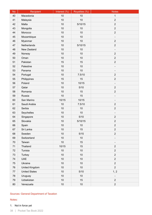| <b>No</b> | Recipient            | Interest (%) | Royalties (%) | <b>Notes</b>                 |
|-----------|----------------------|--------------|---------------|------------------------------|
| 40        | Macedonia            | 10           | 10            | $\mathbf{1}$                 |
| 41        | Malaysia             | 10           | 10            | $\overline{2}$               |
| 42        | Malta                | 10           | 5/10/15       | $\overline{2}$               |
| 43        | Mongolia             | 10           | 10            | $\overline{2}$               |
| 44        | Morocco              | 10           | 10            | $\overline{2}$               |
| 45        | Mozambique           | 10           | 10            | $\overline{\phantom{a}}$     |
| 46        | Myanmar              | 10           | 10            | $\overline{2}$               |
| 47        | Netherlands          | 10           | 5/10/15       | $\overline{2}$               |
| 48        | New Zealand          | 10           | 10            | $\overline{\phantom{0}}$     |
| 49        | Norway               | 10           | 10            | $\overline{2}$               |
| 50        | Oman                 | 10           | 10            | $\overline{2}$               |
| 51        | Pakistan             | 15           | 15            | $\overline{2}$               |
| 52        | Palestine            | 10           | 10            |                              |
| 53        | Panama               | 10           | 10            | $\overline{\phantom{a}}$     |
| 54        | Portugal             | 10           | 7.5/10        | $\overline{2}$               |
| 55        | Philippines          | 15           | 15            | $\overline{2}$               |
| 56        | Poland               | 10           | 10/15         | $\overline{\phantom{0}}$     |
| 57        | Qatar                | 10           | 5/10          | $\overline{2}$               |
| 58        | Romania              | 10           | 15            | $\overline{2}$               |
| 59        | Russia               | 10           | 15            | $\qquad \qquad \blacksquare$ |
| 60        | San Marino           | 10/15        | 10/15         |                              |
| 61        | Saudi Arabia         | 10           | 7.5/10        | $\overline{2}$               |
| 62        | Serbia               | 10           | 10            | $\overline{2}$               |
| 63        | Seychelles           | 10           | 10            | $\overline{\phantom{a}}$     |
| 64        | Singapore            | 10           | 5/10          | $\overline{2}$               |
| 65        | Slovakia             | 10           | 5/10/15       | $\overline{2}$               |
| 66        | Spain                | 10           | 10            | $\overline{2}$               |
| 67        | Sri Lanka            | 10           | 15            | $\overline{2}$               |
| 68        | Sweden               | 10           | 5/15          | $\overline{2}$               |
| 69        | Switzerland          | 10           | 10            |                              |
| 70        | Taiwan               | 10           | 15            |                              |
| 71        | Thailand             | 10/15        | 15            | $\overline{2}$               |
| 72        | Tunisia              | 10           | 10            | $\overline{2}$               |
| 73        | Turkey               | 10           | 10            | $\overline{2}$               |
| 74        | <b>UAE</b>           | 10           | 10            | $\overline{2}$               |
| 75        | Ukraine              | 10           | 10            | $\overline{2}$               |
| 76        | United Kingdom       | 10           | 10            | $\overline{2}$               |
| 77        | <b>United States</b> | 10           | 5/10          | 1, 2                         |
| 78        | Uruguay              | 10           | 10            |                              |
| 79        | Uzbekistan           | 10           | 15            | $\overline{2}$               |
| 80        | Venezuela            | $10$         | $10$          | $\overline{2}$               |

# Sources: General Department of Taxation

# Notes:

1. Not in force yet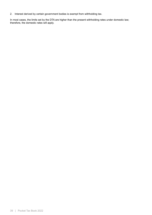2. Interest derived by certain government bodies is exempt from withholding tax.

In most cases, the limits set by the DTA are higher than the present withholding rates under domestic law; therefore, the domestic rates will apply.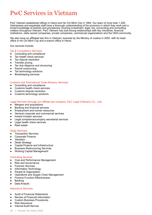# <span id="page-39-0"></span>PwC Services in Vietnam

PwC Vietnam established offices in Hanoi and Ho Chi Minh City in 1994. Our team of more than 1,500 Vietnamese and expatriate staff have a thorough understanding of the economy in which they work and a broad knowledge of policies and procedures covering investment, legal, tax, accounting and consulting matters throughout Vietnam. PwC Vietnam has built strong relationships with key ministries, financial institutions, state owned companies, private companies, commercial organizations and the ODA community.

We also have an affiliated law firm in Vietnam, licensed by the Ministry of Justice in 2000, with its head office in Ho Chi Minh City and a branch office in Hanoi.

Our services include:

### Tax & Consultancy Services:

- Consulting and compliance
- Tax health check services
- Tax dispute resolution
- Transfer pricing
- Tax due diligence and structuring
- Payroll outsourcing
- Tax technology solutions
- Bookkeeping services

# Customs and International Trade Advisory Services:

- Consulting and compliance
- Customs health check services
- Customs dispute resolution
- Customs technology solutions

# Legal Services (through our affiliate law company, PwC Legal (Vietnam) Co., Ltd):

- Mergers and acquisitions
- **Banking and financial services**
- Employment and human resources
- General corporate and commercial services
- Inward investor services
- Legal compliance/company secretarial services
- Legal health check services
- **Real estate**

### Deals Services:

- Transaction Services
- Corporate Finance
- Valuation
- Deals Strategy
- Capital Projects and Infrastructure
- **Business Restructuring Services**
- **Working Capital Management**

### Consulting services:

- Cost and Performance Management
- Risk and Governance
- Forensic Services
- Information Technology
- People & Organisation
- Operations and Supply Chain Management
- Finance Function Effectiveness
- **Banking**
- Data Analytic

### Assurance Services:

- Audit of Financial Statements
- **Review of Financial Information**
- Custom Business Procedures
- **Risk Assurance**
- **Internal Audit Service**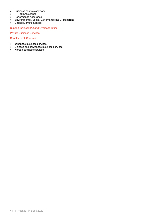- Business controls advisory
- IT Risks Assurance
- Performance Assurance
- Environmental, Social, Governance (ESG) Reporting
- Capital Markets Service

Support for local IPO and Overseas listing

Private Business Services

Country Desk Services:

- Japanese business services
- Chinese and Taiwanese business services
- Korean business services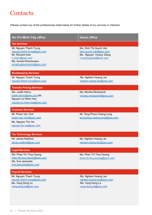# <span id="page-41-0"></span>**Contacts**

(Please contact any of the professionals listed below for further details of our services in Vietnam)

| <b>Ho Chi Minh City office</b>                                                                                                                                              | <b>Hanoi office</b>                                                                                 |
|-----------------------------------------------------------------------------------------------------------------------------------------------------------------------------|-----------------------------------------------------------------------------------------------------|
| <b>Tax Services</b><br>Mr. Nguyen Thanh Trung<br>nguyen.thanh.trung@pwc.com<br>Mr. Richard Irwin<br>r.j.irwin@pwc.com<br>Ms. Annett Perschmann<br>annett.perschmann@pwc.com | Ms. Dinh Thi Quynh Van<br>dinh.quynh.van@pwc.com<br>Ms. Nguyen Huong Giang<br>n.huong.giang@pwc.com |
| <b>Bookkeeping Services</b><br>Mr. Nguyen Thanh Trung<br>nguyen.thanh.trung@pwc.com                                                                                         | Ms. Nghiem Hoang Lan<br>nghiem.hoang.lan@pwc.com                                                    |
| <b>Transfer Pricing Services</b><br>Ms. Judith Henry<br>judith.henry@pwc.com Mr.<br>Nguyen Le Nhan Hoa<br>nguyen.le.nhan.hoa@pwc.com                                        | Ms. Monika Mindszenti<br>monika.mindszenti@pwc.com                                                  |
| <b>Customs Services</b><br>Mr. Pham Van Vinh<br>pham.van.vinh@pwc.com<br>Ms. Nguyen Thu Ha<br>nguyen.thu.ha@pwc.com                                                         | Mr. Tong Phuoc Hoang Long<br>tong.phuoc.hoang.long@pwc.com                                          |
| <b>Tax Technology Services</b><br>Mr. James Radford<br>james.radford@pwc.com                                                                                                | Ms. Nghiem Hoang Lan<br>nghiem.hoang.lan@pwc.com                                                    |
| <b>Legal Services</b><br>Ms. Phan Thi Thuy Duong<br>phan.thi.thuv.duong@pwc.com<br>Ms. Eva Jaworska<br>eva.jaworska@pwc.com                                                 | Ms. Phan Thi Thuy Duong<br>phan.thi.thuy.duong@pwc.com                                              |
| <b>Payroll Services</b><br>Mr. Nguyen Thanh Trung<br>nguyen.thanh.trung@pwc.com<br>Ms. Vong Dong Le<br>vong.dong.le@pwc.com                                                 | Ms. Nghiem Hoang Lan<br>nghiem.hoang.lan@pwc.com<br>Ms. Vong Dong Le<br>vong.dong.le@pwc.com        |

L.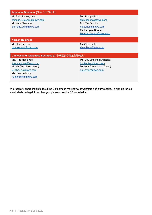| Japanese Business (ジャパンビジネス)                  |                              |  |
|-----------------------------------------------|------------------------------|--|
| Mr. Seisuke Koyama                            | Mr. Shimpei Imai             |  |
| seisuke.k.kovama@pwc.com                      | shimpei.imai@pwc.com         |  |
| Mr. Yuta Shimada                              | Ms. Rie Sanuka               |  |
| shimada.yuta@pwc.com                          | rie.sanuka@pwc.com           |  |
|                                               | Mr. Hiroyuki Kogure          |  |
|                                               | kogure.hiroyuki@pwc.com      |  |
| <b>Korean Business</b>                        |                              |  |
| Mr. Han-Hee Son                               | Mr. Shim Jinbo               |  |
| hanhee.son@pwc.com                            | shim.jinbo@pwc.com           |  |
|                                               |                              |  |
| Chinese and Taiwanese Business (大中華區及台灣業務聯絡人) |                              |  |
| Ms. Ting Hock Yee                             | Ms. Lou Jingjing (Christine) |  |
| ting.hock.yee@pwc.com                         | lou.jingjing@pwc.com         |  |
| Mr. Yu Che Liao (Jason)                       | Mr. Hsu Tzu-Hsuan (Dylan)    |  |
| yu.che.liao@pwc.com                           | hsu.dylan@pwc.com            |  |
| Ms. Hua Le Minh                               |                              |  |
| hua.le.minh@pwc.com                           |                              |  |
|                                               |                              |  |

We regularly share insights about the Vietnamese market via newsletters and our website. To sign up for our email alerts on legal & tax changes, please scan the QR code below.